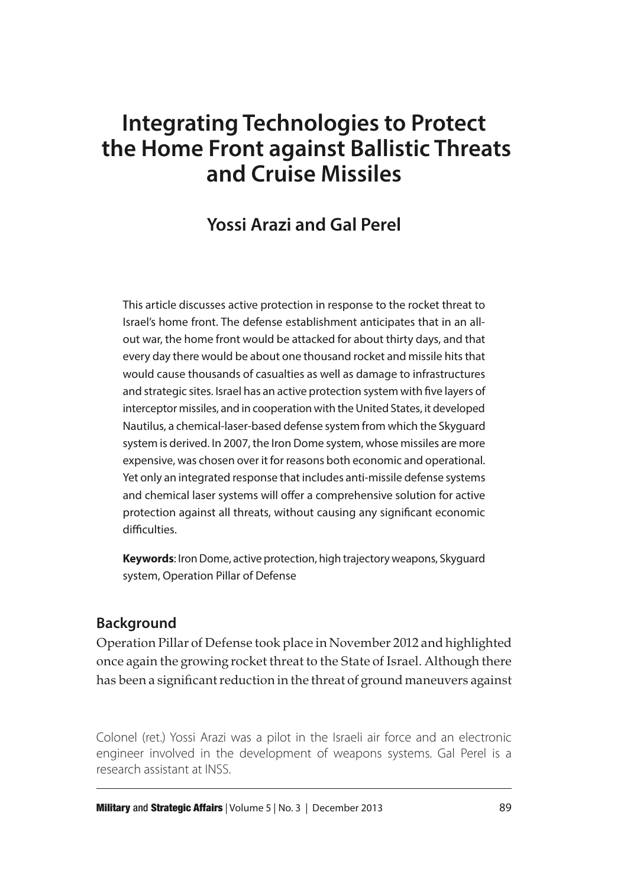# **Integrating Technologies to Protect the Home Front against Ballistic Threats and Cruise Missiles**

# **Yossi Arazi and Gal Perel**

This article discusses active protection in response to the rocket threat to Israel's home front. The defense establishment anticipates that in an allout war, the home front would be attacked for about thirty days, and that every day there would be about one thousand rocket and missile hits that would cause thousands of casualties as well as damage to infrastructures and strategic sites. Israel has an active protection system with five layers of interceptor missiles, and in cooperation with the United States, it developed Nautilus, a chemical-laser-based defense system from which the Skyguard system is derived. In 2007, the Iron Dome system, whose missiles are more expensive, was chosen over it for reasons both economic and operational. Yet only an integrated response that includes anti-missile defense systems and chemical laser systems will offer a comprehensive solution for active protection against all threats, without causing any significant economic difficulties.

**Keywords**: Iron Dome, active protection, high trajectory weapons, Skyguard system, Operation Pillar of Defense

## **Background**

Operation Pillar of Defense took place in November 2012 and highlighted once again the growing rocket threat to the State of Israel. Although there has been a significant reduction in the threat of ground maneuvers against

Colonel (ret.) Yossi Arazi was a pilot in the Israeli air force and an electronic engineer involved in the development of weapons systems. Gal Perel is a research assistant at INSS.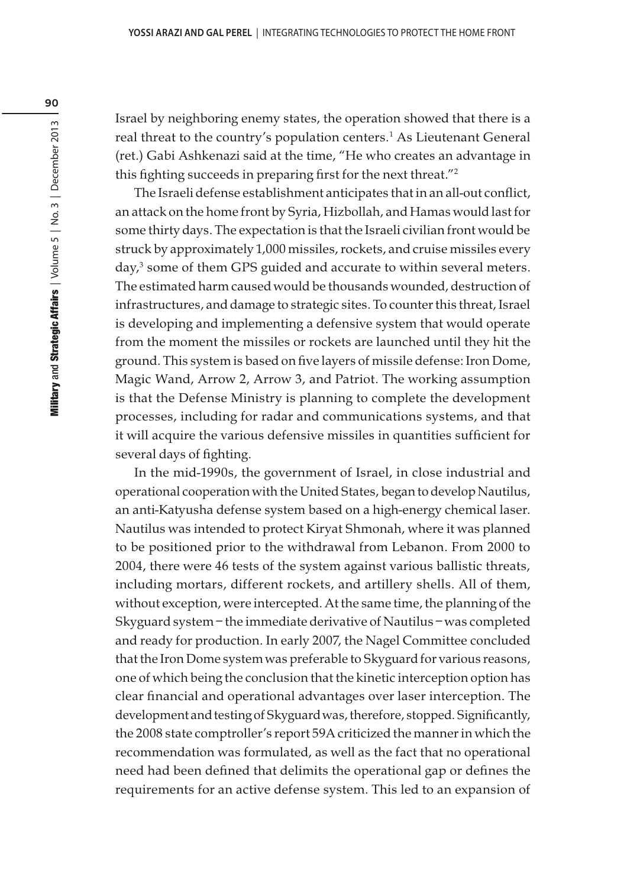Israel by neighboring enemy states, the operation showed that there is a real threat to the country's population centers.<sup>1</sup> As Lieutenant General (ret.) Gabi Ashkenazi said at the time, "He who creates an advantage in this fighting succeeds in preparing first for the next threat."<sup>2</sup>

The Israeli defense establishment anticipates that in an all-out conflict, an attack on the home front by Syria, Hizbollah, and Hamas would last for some thirty days. The expectation is that the Israeli civilian front would be struck by approximately 1,000 missiles, rockets, and cruise missiles every day,<sup>3</sup> some of them GPS guided and accurate to within several meters. The estimated harm caused would be thousands wounded, destruction of infrastructures, and damage to strategic sites. To counter this threat, Israel is developing and implementing a defensive system that would operate from the moment the missiles or rockets are launched until they hit the ground. This system is based on five layers of missile defense: Iron Dome, Magic Wand, Arrow 2, Arrow 3, and Patriot. The working assumption is that the Defense Ministry is planning to complete the development processes, including for radar and communications systems, and that it will acquire the various defensive missiles in quantities sufficient for several days of fighting.

In the mid-1990s, the government of Israel, in close industrial and operational cooperation with the United States, began to develop Nautilus, an anti-Katyusha defense system based on a high-energy chemical laser. Nautilus was intended to protect Kiryat Shmonah, where it was planned to be positioned prior to the withdrawal from Lebanon. From 2000 to 2004, there were 46 tests of the system against various ballistic threats, including mortars, different rockets, and artillery shells. All of them, without exception, were intercepted. At the same time, the planning of the Skyguard system – the immediate derivative of Nautilus – was completed and ready for production. In early 2007, the Nagel Committee concluded that the Iron Dome system was preferable to Skyguard for various reasons, one of which being the conclusion that the kinetic interception option has clear financial and operational advantages over laser interception. The development and testing of Skyguard was, therefore, stopped. Significantly, the 2008 state comptroller's report 59A criticized the manner in which the recommendation was formulated, as well as the fact that no operational need had been defined that delimits the operational gap or defines the requirements for an active defense system. This led to an expansion of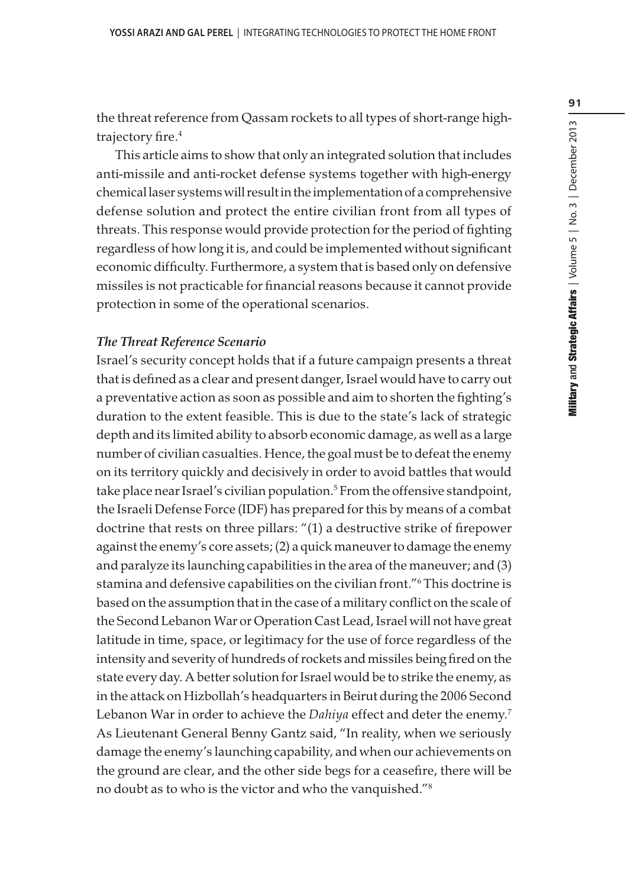the threat reference from Qassam rockets to all types of short-range hightrajectory fire.<sup>4</sup>

This article aims to show that only an integrated solution that includes anti-missile and anti-rocket defense systems together with high-energy chemical laser systems will result in the implementation of a comprehensive defense solution and protect the entire civilian front from all types of threats. This response would provide protection for the period of fighting regardless of how long it is, and could be implemented without significant economic difficulty. Furthermore, a system that is based only on defensive missiles is not practicable for financial reasons because it cannot provide protection in some of the operational scenarios.

#### The Threat Reference Scenario

Israel's security concept holds that if a future campaign presents a threat that is defined as a clear and present danger, Israel would have to carry out a preventative action as soon as possible and aim to shorten the fighting's duration to the extent feasible. This is due to the state's lack of strategic depth and its limited ability to absorb economic damage, as well as a large number of civilian casualties. Hence, the goal must be to defeat the enemy on its territory quickly and decisively in order to avoid battles that would take place near Israel's civilian population.<sup>5</sup> From the offensive standpoint, the Israeli Defense Force (IDF) has prepared for this by means of a combat doctrine that rests on three pillars: "(1) a destructive strike of firepower against the enemy's core assets; (2) a quick maneuver to damage the enemy and paralyze its launching capabilities in the area of the maneuver; and (3) stamina and defensive capabilities on the civilian front."<sup>6</sup> This doctrine is based on the assumption that in the case of a military conflict on the scale of the Second Lebanon War or Operation Cast Lead, Israel will not have great latitude in time, space, or legitimacy for the use of force regardless of the intensity and severity of hundreds of rockets and missiles being fired on the state every day. A better solution for Israel would be to strike the enemy, as in the attack on Hizbollah's headquarters in Beirut during the 2006 Second Lebanon War in order to achieve the Dahiya effect and deter the enemy.<sup>7</sup> As Lieutenant General Benny Gantz said, "In reality, when we seriously damage the enemy's launching capability, and when our achievements on the ground are clear, and the other side begs for a ceasefire, there will be no doubt as to who is the victor and who the vanquished."8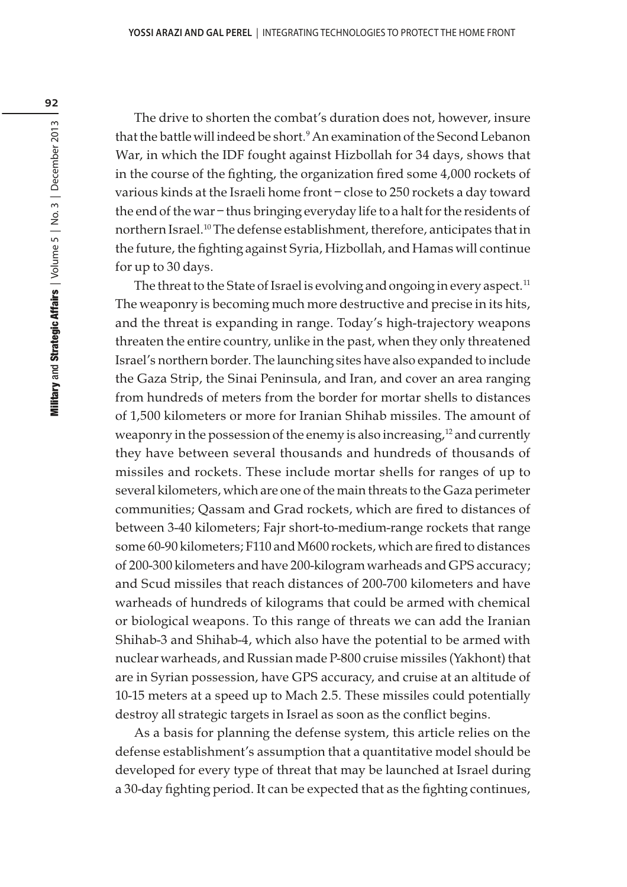The drive to shorten the combat's duration does not, however, insure that the battle will indeed be short.<sup>9</sup> An examination of the Second Lebanon War, in which the IDF fought against Hizbollah for 34 days, shows that in the course of the fighting, the organization fired some 4,000 rockets of various kinds at the Israeli home front – close to 250 rockets a day toward the end of the war – thus bringing everyday life to a halt for the residents of northern Israel.<sup>10</sup> The defense establishment, therefore, anticipates that in the future, the fighting against Syria, Hizbollah, and Hamas will continue for up to 30 days.

The threat to the State of Israel is evolving and ongoing in every aspect.<sup>11</sup> The weaponry is becoming much more destructive and precise in its hits, and the threat is expanding in range. Today's high-trajectory weapons threaten the entire country, unlike in the past, when they only threatened Israel's northern border. The launching sites have also expanded to include the Gaza Strip, the Sinai Peninsula, and Iran, and cover an area ranging from hundreds of meters from the border for mortar shells to distances of 1,500 kilometers or more for Iranian Shihab missiles. The amount of weaponry in the possession of the enemy is also increasing, $12$  and currently they have between several thousands and hundreds of thousands of missiles and rockets. These include mortar shells for ranges of up to several kilometers, which are one of the main threats to the Gaza perimeter communities; Qassam and Grad rockets, which are fired to distances of between 3-40 kilometers; Fajr short-to-medium-range rockets that range some 60-90 kilometers; F110 and M600 rockets, which are fired to distances of 200-300 kilometers and have 200-kilogram warheads and GPS accuracy; and Scud missiles that reach distances of 200-700 kilometers and have warheads of hundreds of kilograms that could be armed with chemical or biological weapons. To this range of threats we can add the Iranian Shihab-3 and Shihab-4, which also have the potential to be armed with nuclear warheads, and Russian made P-800 cruise missiles (Yakhont) that are in Syrian possession, have GPS accuracy, and cruise at an altitude of 10-15 meters at a speed up to Mach 2.5. These missiles could potentially destroy all strategic targets in Israel as soon as the conflict begins.

As a basis for planning the defense system, this article relies on the defense establishment's assumption that a quantitative model should be developed for every type of threat that may be launched at Israel during a 30-day fighting period. It can be expected that as the fighting continues,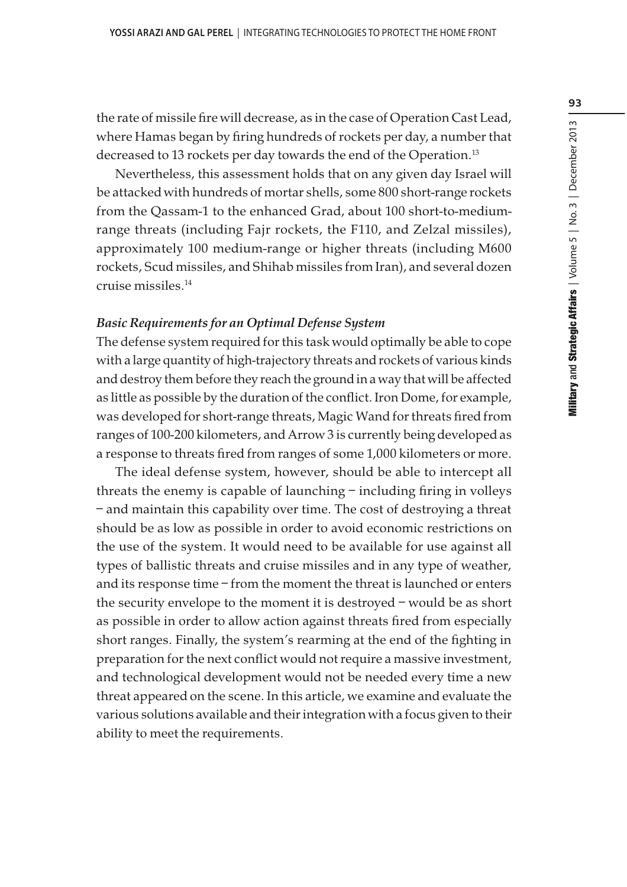the rate of missile fire will decrease, as in the case of Operation Cast Lead, where Hamas began by firing hundreds of rockets per day, a number that decreased to 13 rockets per day towards the end of the Operation.<sup>13</sup>

Nevertheless, this assessment holds that on any given day Israel will be attacked with hundreds of mortar shells, some 800 short-range rockets from the Qassam-1 to the enhanced Grad, about 100 short-to-mediumrange threats (including Fajr rockets, the F110, and Zelzal missiles), approximately 100 medium-range or higher threats (including M600 rockets, Scud missiles, and Shihab missiles from Iran), and several dozen cruise missiles.<sup>14</sup>

#### Basic Requirements for an Optimal Defense System

The defense system required for this task would optimally be able to cope with a large quantity of high-trajectory threats and rockets of various kinds and destroy them before they reach the ground in a way that will be affected as little as possible by the duration of the conflict. Iron Dome, for example, was developed for short-range threats, Magic Wand for threats fired from ranges of 100-200 kilometers, and Arrow 3 is currently being developed as a response to threats fired from ranges of some 1,000 kilometers or more.

The ideal defense system, however, should be able to intercept all threats the enemy is capable of launching – including firing in volleys – and maintain this capability over time. The cost of destroying a threat should be as low as possible in order to avoid economic restrictions on the use of the system. It would need to be available for use against all types of ballistic threats and cruise missiles and in any type of weather, and its response time – from the moment the threat is launched or enters the security envelope to the moment it is destroyed – would be as short as possible in order to allow action against threats fired from especially short ranges. Finally, the system's rearming at the end of the fighting in preparation for the next conflict would not require a massive investment, and technological development would not be needed every time a new threat appeared on the scene. In this article, we examine and evaluate the various solutions available and their integration with a focus given to their ability to meet the requirements.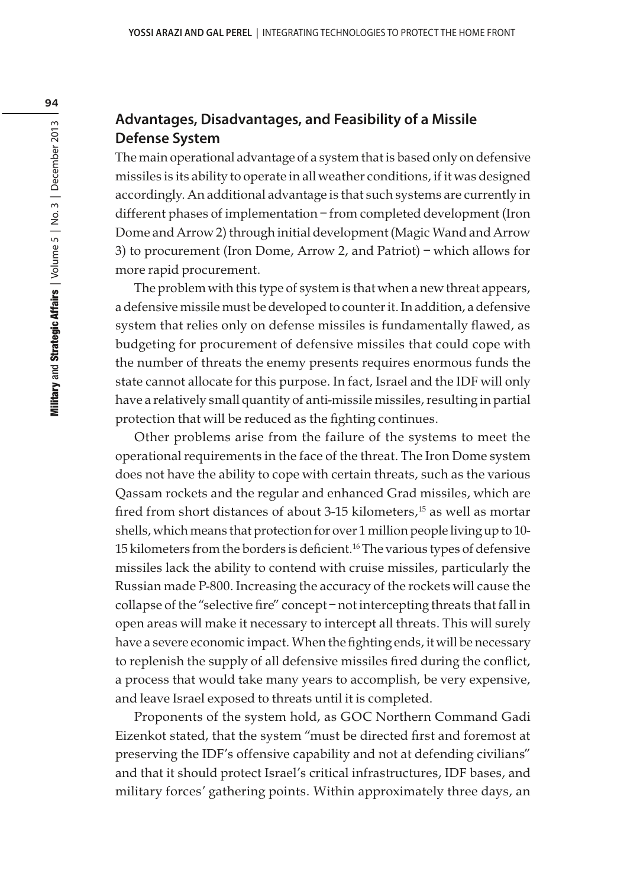## **Advantages, Disadvantages, and Feasibility of a Missile Defense System**

The main operational advantage of a system that is based only on defensive missiles is its ability to operate in all weather conditions, if it was designed accordingly. An additional advantage is that such systems are currently in different phases of implementation – from completed development (Iron Dome and Arrow 2) through initial development (Magic Wand and Arrow 3) to procurement (Iron Dome, Arrow 2, and Patriot) – which allows for more rapid procurement.

The problem with this type of system is that when a new threat appears, a defensive missile must be developed to counter it. In addition, a defensive system that relies only on defense missiles is fundamentally flawed, as budgeting for procurement of defensive missiles that could cope with the number of threats the enemy presents requires enormous funds the state cannot allocate for this purpose. In fact, Israel and the IDF will only have a relatively small quantity of anti-missile missiles, resulting in partial protection that will be reduced as the fighting continues.

Other problems arise from the failure of the systems to meet the operational requirements in the face of the threat. The Iron Dome system does not have the ability to cope with certain threats, such as the various Qassam rockets and the regular and enhanced Grad missiles, which are fired from short distances of about 3-15 kilometers,<sup>15</sup> as well as mortar shells, which means that protection for over 1 million people living up to 10- 15 kilometers from the borders is deficient.<sup>16</sup> The various types of defensive missiles lack the ability to contend with cruise missiles, particularly the Russian made P-800. Increasing the accuracy of the rockets will cause the collapse of the "selective fire" concept – not intercepting threats that fall in open areas will make it necessary to intercept all threats. This will surely have a severe economic impact. When the fighting ends, it will be necessary to replenish the supply of all defensive missiles fired during the conflict, a process that would take many years to accomplish, be very expensive, and leave Israel exposed to threats until it is completed.

Proponents of the system hold, as GOC Northern Command Gadi Eizenkot stated, that the system "must be directed first and foremost at preserving the IDF's offensive capability and not at defending civilians" and that it should protect Israel's critical infrastructures, IDF bases, and military forces' gathering points. Within approximately three days, an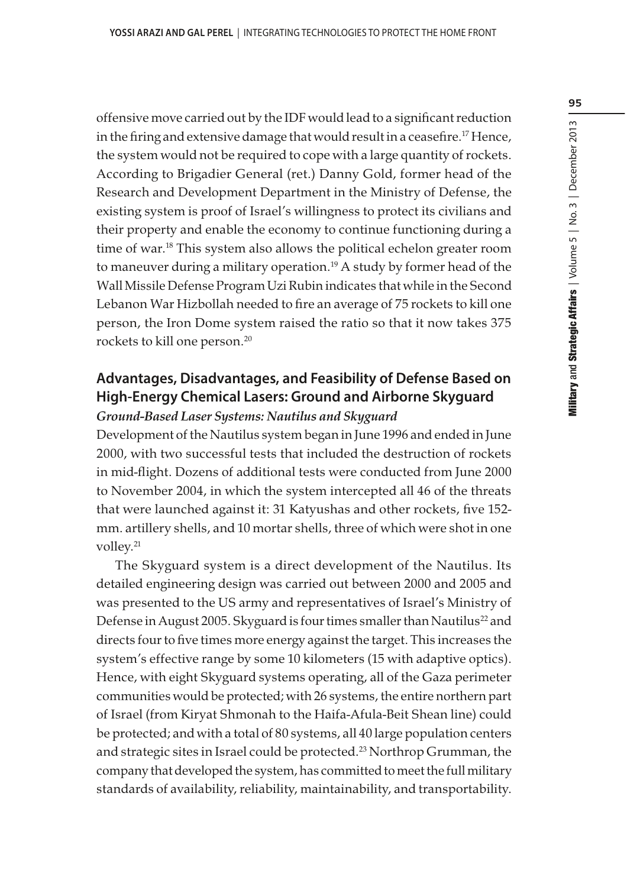offensive move carried out by the IDF would lead to a significant reduction in the firing and extensive damage that would result in a ceasefire.<sup>17</sup> Hence, the system would not be required to cope with a large quantity of rockets. According to Brigadier General (ret.) Danny Gold, former head of the Research and Development Department in the Ministry of Defense, the existing system is proof of Israel's willingness to protect its civilians and their property and enable the economy to continue functioning during a time of war.<sup>18</sup> This system also allows the political echelon greater room to maneuver during a military operation.<sup>19</sup> A study by former head of the Wall Missile Defense Program Uzi Rubin indicates that while in the Second Lebanon War Hizbollah needed to fire an average of 75 rockets to kill one person, the Iron Dome system raised the ratio so that it now takes 375 rockets to kill one person.<sup>20</sup>

# **Advantages, Disadvantages, and Feasibility of Defense Based on High-Energy Chemical Lasers: Ground and Airborne Skyguard**

#### Ground-Based Laser Systems: Nautilus and Skyguard

Development of the Nautilus system began in June 1996 and ended in June 2000, with two successful tests that included the destruction of rockets in mid-flight. Dozens of additional tests were conducted from June 2000 to November 2004, in which the system intercepted all 46 of the threats that were launched against it: 31 Katyushas and other rockets, five 152 mm. artillery shells, and 10 mortar shells, three of which were shot in one volley.<sup>21</sup>

The Skyguard system is a direct development of the Nautilus. Its detailed engineering design was carried out between 2000 and 2005 and was presented to the US army and representatives of Israel's Ministry of Defense in August 2005. Skyguard is four times smaller than Nautilus<sup>22</sup> and directs four to five times more energy against the target. This increases the system's effective range by some 10 kilometers (15 with adaptive optics). Hence, with eight Skyguard systems operating, all of the Gaza perimeter communities would be protected; with 26 systems, the entire northern part of Israel (from Kiryat Shmonah to the Haifa-Afula-Beit Shean line) could be protected; and with a total of 80 systems, all 40 large population centers and strategic sites in Israel could be protected.<sup>23</sup> Northrop Grumman, the company that developed the system, has committed to meet the full military standards of availability, reliability, maintainability, and transportability.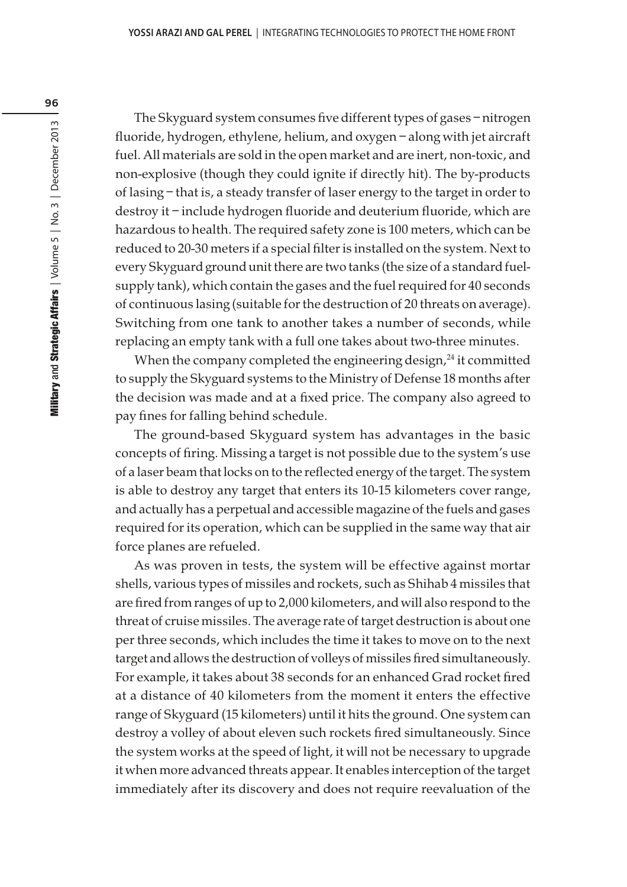The Skyguard system consumes five different types of gases – nitrogen fluoride, hydrogen, ethylene, helium, and oxygen – along with jet aircraft fuel. All materials are sold in the open market and are inert, non-toxic, and non-explosive (though they could ignite if directly hit). The by-products of lasing – that is, a steady transfer of laser energy to the target in order to destroy it – include hydrogen fluoride and deuterium fluoride, which are hazardous to health. The required safety zone is 100 meters, which can be reduced to 20-30 meters if a special filter is installed on the system. Next to every Skyguard ground unit there are two tanks (the size of a standard fuelsupply tank), which contain the gases and the fuel required for 40 seconds of continuous lasing (suitable for the destruction of 20 threats on average). Switching from one tank to another takes a number of seconds, while replacing an empty tank with a full one takes about two-three minutes.

When the company completed the engineering design,<sup>24</sup> it committed to supply the Skyguard systems to the Ministry of Defense 18 months after the decision was made and at a fixed price. The company also agreed to pay fines for falling behind schedule.

The ground-based Skyguard system has advantages in the basic concepts of firing. Missing a target is not possible due to the system's use of a laser beam that locks on to the reflected energy of the target. The system is able to destroy any target that enters its 10-15 kilometers cover range, and actually has a perpetual and accessible magazine of the fuels and gases required for its operation, which can be supplied in the same way that air force planes are refueled.

As was proven in tests, the system will be effective against mortar shells, various types of missiles and rockets, such as Shihab 4 missiles that are fired from ranges of up to 2,000 kilometers, and will also respond to the threat of cruise missiles. The average rate of target destruction is about one per three seconds, which includes the time it takes to move on to the next target and allows the destruction of volleys of missiles fired simultaneously. For example, it takes about 38 seconds for an enhanced Grad rocket fired at a distance of 40 kilometers from the moment it enters the effective range of Skyguard (15 kilometers) until it hits the ground. One system can destroy a volley of about eleven such rockets fired simultaneously. Since the system works at the speed of light, it will not be necessary to upgrade it when more advanced threats appear. It enables interception of the target immediately after its discovery and does not require reevaluation of the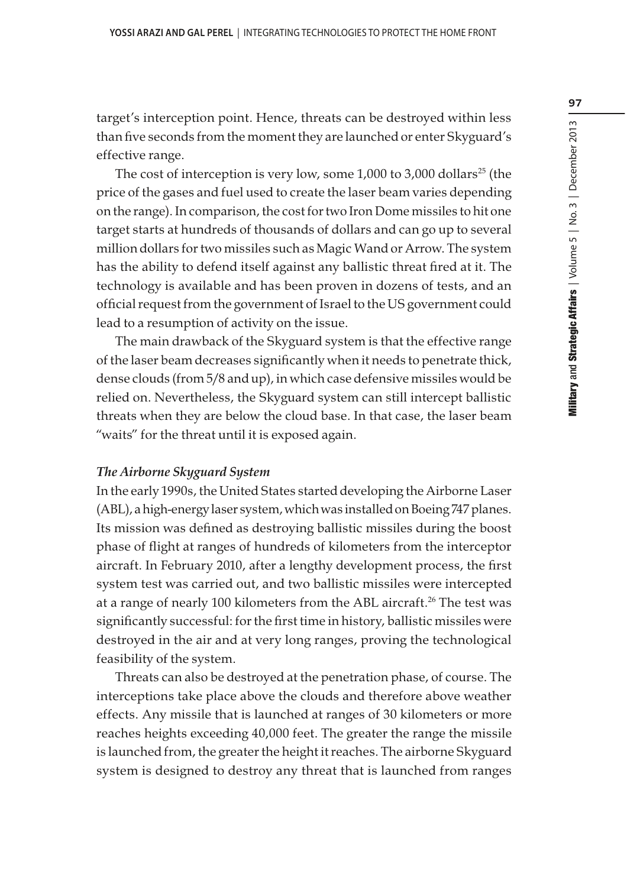target's interception point. Hence, threats can be destroyed within less than five seconds from the moment they are launched or enter Skyguard's effective range.

The cost of interception is very low, some  $1,000$  to  $3,000$  dollars<sup>25</sup> (the price of the gases and fuel used to create the laser beam varies depending on the range). In comparison, the cost for two Iron Dome missiles to hit one target starts at hundreds of thousands of dollars and can go up to several million dollars for two missiles such as Magic Wand or Arrow. The system has the ability to defend itself against any ballistic threat fired at it. The technology is available and has been proven in dozens of tests, and an official request from the government of Israel to the US government could lead to a resumption of activity on the issue.

The main drawback of the Skyguard system is that the effective range of the laser beam decreases significantly when it needs to penetrate thick, dense clouds (from 5/8 and up), in which case defensive missiles would be relied on. Nevertheless, the Skyguard system can still intercept ballistic threats when they are below the cloud base. In that case, the laser beam "waits" for the threat until it is exposed again.

### The Airborne Skyguard System

In the early 1990s, the United States started developing the Airborne Laser (ABL), a high-energy laser system, which was installed on Boeing 747 planes. Its mission was defined as destroying ballistic missiles during the boost phase of flight at ranges of hundreds of kilometers from the interceptor aircraft. In February 2010, after a lengthy development process, the first system test was carried out, and two ballistic missiles were intercepted at a range of nearly 100 kilometers from the ABL aircraft.<sup>26</sup> The test was significantly successful: for the first time in history, ballistic missiles were destroyed in the air and at very long ranges, proving the technological feasibility of the system.

Threats can also be destroyed at the penetration phase, of course. The interceptions take place above the clouds and therefore above weather effects. Any missile that is launched at ranges of 30 kilometers or more reaches heights exceeding 40,000 feet. The greater the range the missile is launched from, the greater the height it reaches. The airborne Skyguard system is designed to destroy any threat that is launched from ranges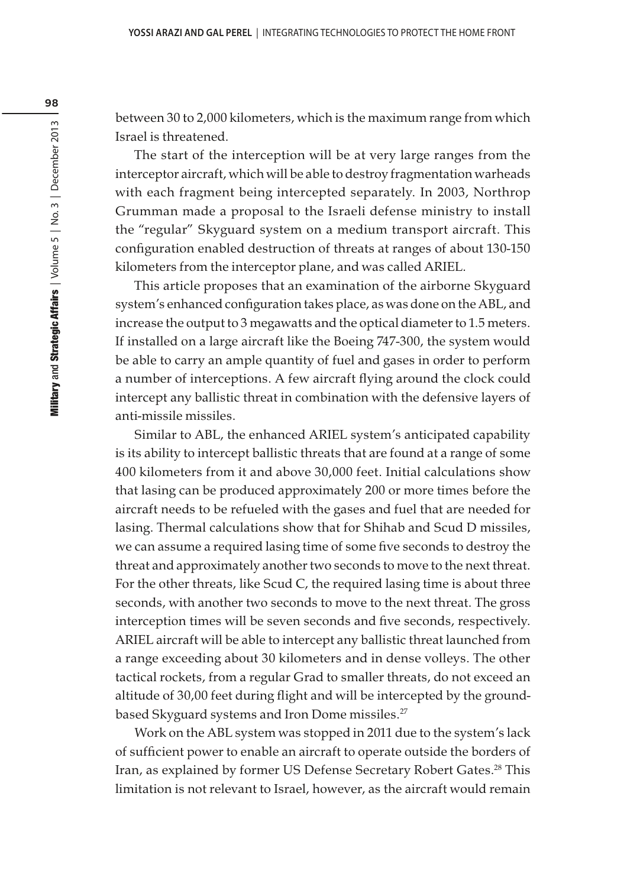between 30 to 2,000 kilometers, which is the maximum range from which Israel is threatened.

The start of the interception will be at very large ranges from the interceptor aircraft, which will be able to destroy fragmentation warheads with each fragment being intercepted separately. In 2003, Northrop Grumman made a proposal to the Israeli defense ministry to install the "regular" Skyguard system on a medium transport aircraft. This configuration enabled destruction of threats at ranges of about 130-150 kilometers from the interceptor plane, and was called ARIEL.

This article proposes that an examination of the airborne Skyguard system's enhanced configuration takes place, as was done on the ABL, and increase the output to 3 megawatts and the optical diameter to 1.5 meters. If installed on a large aircraft like the Boeing 747-300, the system would be able to carry an ample quantity of fuel and gases in order to perform a number of interceptions. A few aircraft flying around the clock could intercept any ballistic threat in combination with the defensive layers of anti-missile missiles.

Similar to ABL, the enhanced ARIEL system's anticipated capability is its ability to intercept ballistic threats that are found at a range of some 400 kilometers from it and above 30,000 feet. Initial calculations show that lasing can be produced approximately 200 or more times before the aircraft needs to be refueled with the gases and fuel that are needed for lasing. Thermal calculations show that for Shihab and Scud D missiles, we can assume a required lasing time of some five seconds to destroy the threat and approximately another two seconds to move to the next threat. For the other threats, like Scud C, the required lasing time is about three seconds, with another two seconds to move to the next threat. The gross interception times will be seven seconds and five seconds, respectively. ARIEL aircraft will be able to intercept any ballistic threat launched from a range exceeding about 30 kilometers and in dense volleys. The other tactical rockets, from a regular Grad to smaller threats, do not exceed an altitude of 30,00 feet during flight and will be intercepted by the groundbased Skyguard systems and Iron Dome missiles.<sup>27</sup>

Work on the ABL system was stopped in 2011 due to the system's lack of sufficient power to enable an aircraft to operate outside the borders of Iran, as explained by former US Defense Secretary Robert Gates.<sup>28</sup> This limitation is not relevant to Israel, however, as the aircraft would remain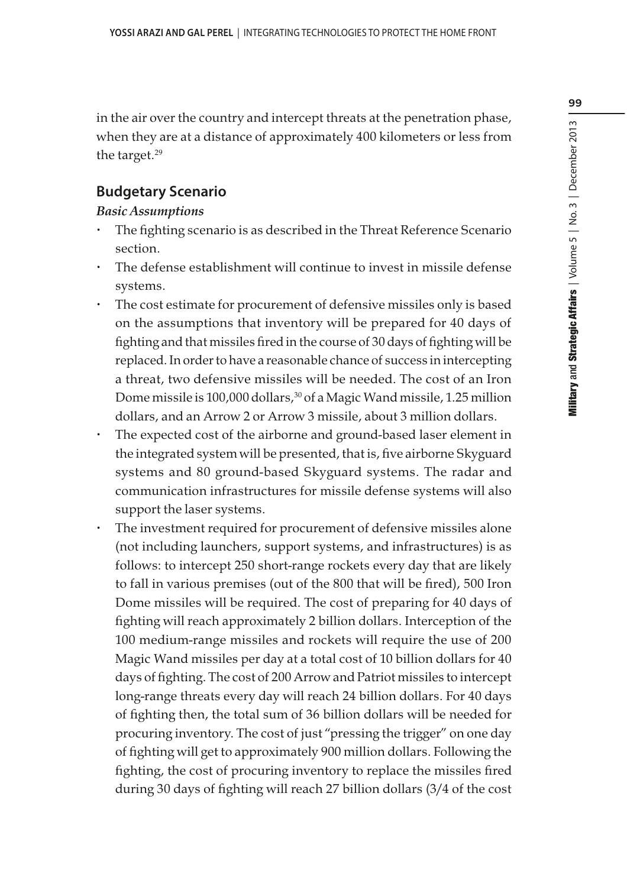99

in the air over the country and intercept threats at the penetration phase, when they are at a distance of approximately 400 kilometers or less from the target.<sup>29</sup>

## **Budgetary Scenario**

#### Basic Assumptions

- The fighting scenario is as described in the Threat Reference Scenario section.
- The defense establishment will continue to invest in missile defense systems.
- The cost estimate for procurement of defensive missiles only is based on the assumptions that inventory will be prepared for 40 days of fighting and that missiles fired in the course of 30 days of fighting will be replaced. In order to have a reasonable chance of success in intercepting a threat, two defensive missiles will be needed. The cost of an Iron Dome missile is 100,000 dollars,<sup>30</sup> of a Magic Wand missile, 1.25 million dollars, and an Arrow 2 or Arrow 3 missile, about 3 million dollars.
- The expected cost of the airborne and ground-based laser element in the integrated system will be presented, that is, five airborne Skyguard systems and 80 ground-based Skyguard systems. The radar and communication infrastructures for missile defense systems will also support the laser systems.
- The investment required for procurement of defensive missiles alone (not including launchers, support systems, and infrastructures) is as follows: to intercept 250 short-range rockets every day that are likely to fall in various premises (out of the 800 that will be fired), 500 Iron Dome missiles will be required. The cost of preparing for 40 days of fighting will reach approximately 2 billion dollars. Interception of the 100 medium-range missiles and rockets will require the use of 200 Magic Wand missiles per day at a total cost of 10 billion dollars for 40 days of fighting. The cost of 200 Arrow and Patriot missiles to intercept long-range threats every day will reach 24 billion dollars. For 40 days of fighting then, the total sum of 36 billion dollars will be needed for procuring inventory. The cost of just "pressing the trigger" on one day of fighting will get to approximately 900 million dollars. Following the fighting, the cost of procuring inventory to replace the missiles fired during 30 days of fighting will reach 27 billion dollars (3/4 of the cost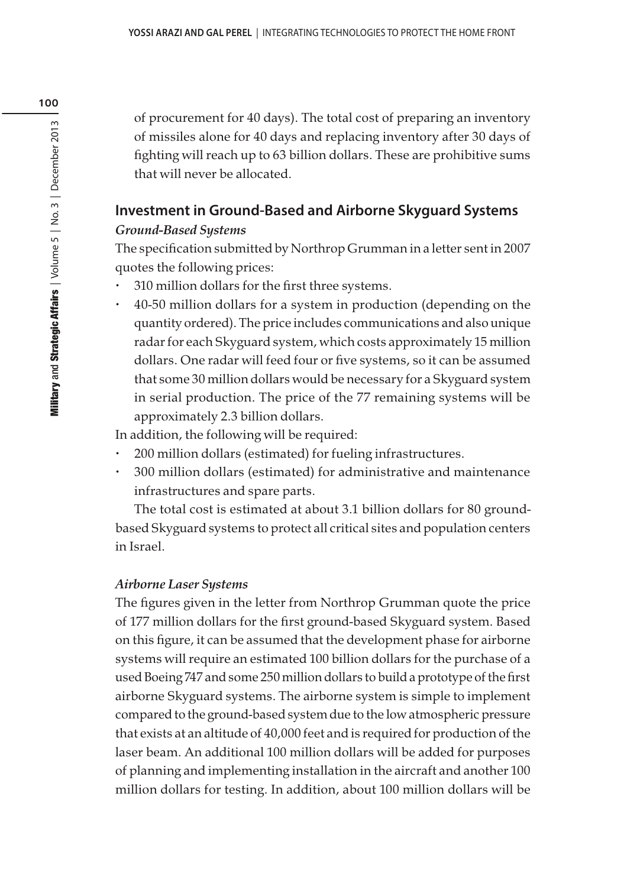of procurement for 40 days). The total cost of preparing an inventory of missiles alone for 40 days and replacing inventory after 30 days of fighting will reach up to 63 billion dollars. These are prohibitive sums that will never be allocated.

# **Investment in Ground-Based and Airborne Skyguard Systems** Ground-Based Systems

The specification submitted by Northrop Grumman in a letter sent in 2007 quotes the following prices:

- 310 million dollars for the first three systems.
- 40-50 million dollars for a system in production (depending on the quantity ordered). The price includes communications and also unique radar for each Skyguard system, which costs approximately 15 million dollars. One radar will feed four or five systems, so it can be assumed that some 30 million dollars would be necessary for a Skyguard system in serial production. The price of the 77 remaining systems will be approximately 2.3 billion dollars.

In addition, the following will be required:

- 200 million dollars (estimated) for fueling infrastructures.
- 300 million dollars (estimated) for administrative and maintenance infrastructures and spare parts.

The total cost is estimated at about 3.1 billion dollars for 80 groundbased Skyguard systems to protect all critical sites and population centers in Israel.

## Airborne Laser Systems

The figures given in the letter from Northrop Grumman quote the price of 177 million dollars for the first ground-based Skyguard system. Based on this figure, it can be assumed that the development phase for airborne systems will require an estimated 100 billion dollars for the purchase of a used Boeing 747 and some 250 million dollars to build a prototype of the first airborne Skyguard systems. The airborne system is simple to implement compared to the ground-based system due to the low atmospheric pressure that exists at an altitude of 40,000 feet and is required for production of the laser beam. An additional 100 million dollars will be added for purposes of planning and implementing installation in the aircraft and another 100 million dollars for testing. In addition, about 100 million dollars will be

100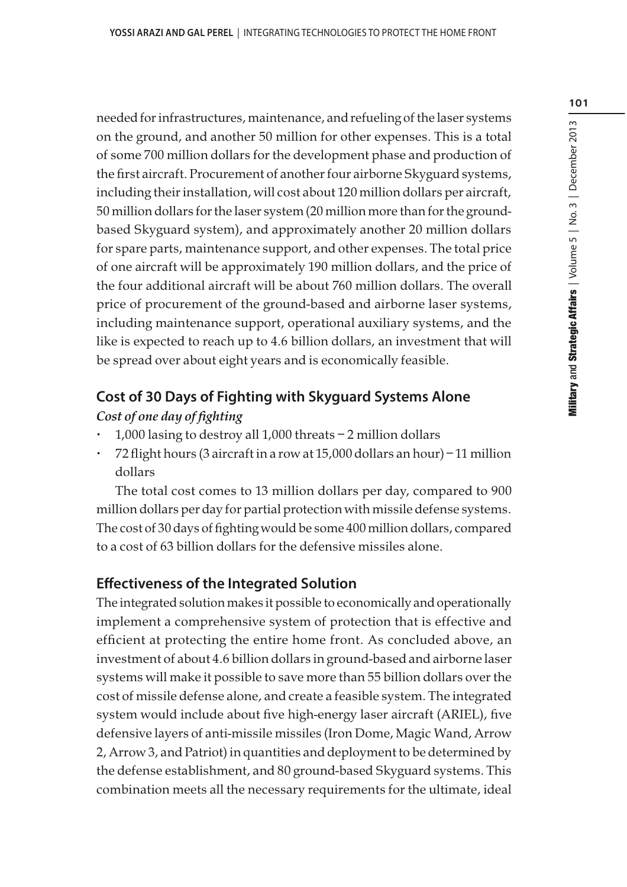needed for infrastructures, maintenance, and refueling of the laser systems on the ground, and another 50 million for other expenses. This is a total of some 700 million dollars for the development phase and production of the first aircraft. Procurement of another four airborne Skyguard systems, including their installation, will cost about 120 million dollars per aircraft, 50 million dollars for the laser system (20 million more than for the groundbased Skyguard system), and approximately another 20 million dollars for spare parts, maintenance support, and other expenses. The total price of one aircraft will be approximately 190 million dollars, and the price of the four additional aircraft will be about 760 million dollars. The overall price of procurement of the ground-based and airborne laser systems, including maintenance support, operational auxiliary systems, and the like is expected to reach up to 4.6 billion dollars, an investment that will be spread over about eight years and is economically feasible.

# **Cost of 30 Days of Fighting with Skyguard Systems Alone**

### Cost of one day of fighting

- 1,000 lasing to destroy all 1,000 threats 2 million dollars
- 72 flight hours (3 aircraft in a row at 15,000 dollars an hour) 11 million dollars

The total cost comes to 13 million dollars per day, compared to 900 million dollars per day for partial protection with missile defense systems. The cost of 30 days of fighting would be some 400 million dollars, compared to a cost of 63 billion dollars for the defensive missiles alone.

# **Effectiveness of the Integrated Solution**

The integrated solution makes it possible to economically and operationally implement a comprehensive system of protection that is effective and efficient at protecting the entire home front. As concluded above, an investment of about 4.6 billion dollars in ground-based and airborne laser systems will make it possible to save more than 55 billion dollars over the cost of missile defense alone, and create a feasible system. The integrated system would include about five high-energy laser aircraft (ARIEL), five defensive layers of anti-missile missiles (Iron Dome, Magic Wand, Arrow 2, Arrow 3, and Patriot) in quantities and deployment to be determined by the defense establishment, and 80 ground-based Skyguard systems. This combination meets all the necessary requirements for the ultimate, ideal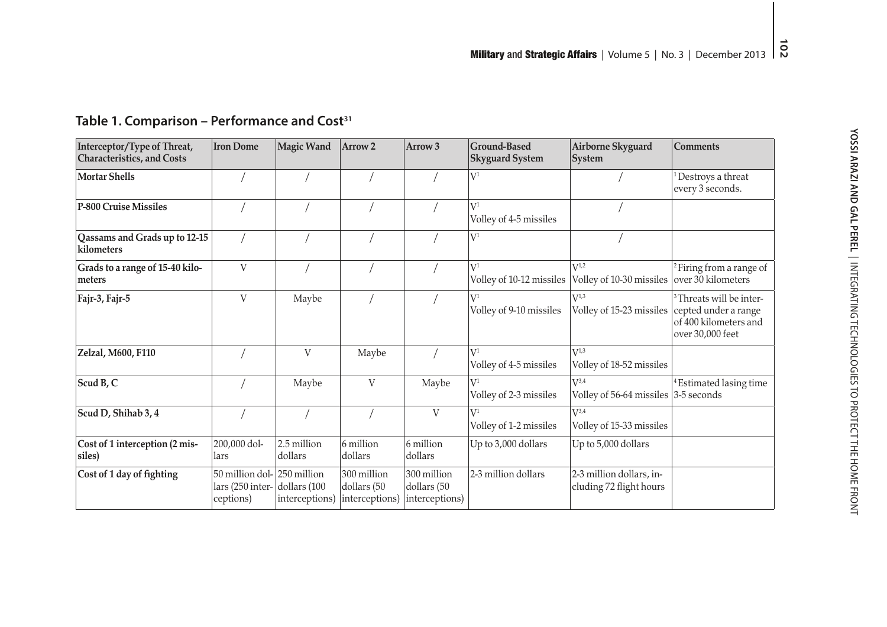| Interceptor/Type of Threat,<br><b>Characteristics, and Costs</b> | <b>Iron Dome</b>                                             | <b>Magic Wand</b>                | Arrow <sub>2</sub>                           | Arrow <sub>3</sub>                           | <b>Ground-Based</b><br><b>Skyguard System</b> | Airborne Skyguard<br><b>System</b>                         | <b>Comments</b>                                                                  |
|------------------------------------------------------------------|--------------------------------------------------------------|----------------------------------|----------------------------------------------|----------------------------------------------|-----------------------------------------------|------------------------------------------------------------|----------------------------------------------------------------------------------|
| <b>Mortar Shells</b>                                             |                                                              |                                  |                                              |                                              | $\rm V^1$                                     |                                                            | Destroys a threat<br>every 3 seconds.                                            |
| P-800 Cruise Missiles                                            |                                                              |                                  |                                              |                                              | $V^1$<br>Volley of 4-5 missiles               |                                                            |                                                                                  |
| Qassams and Grads up to 12-15<br>kilometers                      |                                                              |                                  |                                              |                                              | $V^1$                                         |                                                            |                                                                                  |
| Grads to a range of 15-40 kilo-<br>meters                        | $\mathbf V$                                                  |                                  |                                              |                                              | $\rm V^1$<br>Volley of 10-12 missiles         | $V^{1,2}$<br>Volley of 10-30 missiles   over 30 kilometers | <sup>2</sup> Firing from a range of                                              |
| Fajr-3, Fajr-5                                                   | V                                                            | Maybe                            |                                              |                                              | $V^1$<br>Volley of 9-10 missiles              | $V^{1,3}$<br>Volley of 15-23 missiles cepted under a range | <sup>3</sup> Threats will be inter-<br>of 400 kilometers and<br>over 30,000 feet |
| Zelzal, M600, F110                                               |                                                              | V                                | Maybe                                        |                                              | $V^1$<br>Volley of 4-5 missiles               | $V^{1,3}$<br>Volley of 18-52 missiles                      |                                                                                  |
| Scud B, C                                                        |                                                              | Maybe                            | V                                            | Maybe                                        | $V^1$<br>Volley of 2-3 missiles               | $V^{3,4}$<br>Volley of 56-64 missiles 3-5 seconds          | <sup>4</sup> Estimated lasing time                                               |
| Scud D, Shihab 3, 4                                              |                                                              |                                  |                                              | V                                            | $V^1$<br>Volley of 1-2 missiles               | $V^{3,4}$<br>Volley of 15-33 missiles                      |                                                                                  |
| Cost of 1 interception (2 mis-<br>siles)                         | 200,000 dol-<br>llars                                        | 2.5 million<br>dollars           | 6 million<br>dollars                         | 6 million<br>dollars                         | Up to 3,000 dollars                           | Up to 5,000 dollars                                        |                                                                                  |
| Cost of 1 day of fighting                                        | 50 million dol- 250 million<br>lars (250 inter-<br>ceptions) | dollars $(100$<br>interceptions) | 300 million<br>dollars (50<br>interceptions) | 300 million<br>dollars (50<br>interceptions) | 2-3 million dollars                           | 2-3 million dollars, in-<br>cluding 72 flight hours        |                                                                                  |

# **Table 1. Comparison – Performance and Cost<sup>31</sup>**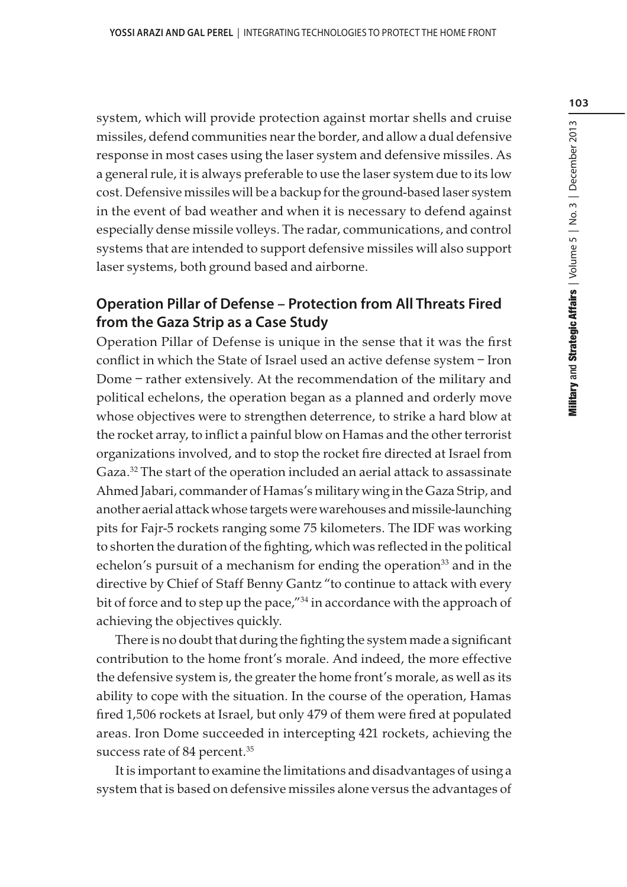system, which will provide protection against mortar shells and cruise missiles, defend communities near the border, and allow a dual defensive response in most cases using the laser system and defensive missiles. As a general rule, it is always preferable to use the laser system due to its low cost. Defensive missiles will be a backup for the ground-based laser system in the event of bad weather and when it is necessary to defend against especially dense missile volleys. The radar, communications, and control systems that are intended to support defensive missiles will also support laser systems, both ground based and airborne.

## **Operation Pillar of Defense – Protection from All Threats Fired from the Gaza Strip as a Case Study**

Operation Pillar of Defense is unique in the sense that it was the first conflict in which the State of Israel used an active defense system – Iron Dome – rather extensively. At the recommendation of the military and political echelons, the operation began as a planned and orderly move whose objectives were to strengthen deterrence, to strike a hard blow at the rocket array, to inflict a painful blow on Hamas and the other terrorist organizations involved, and to stop the rocket fire directed at Israel from Gaza.<sup>32</sup> The start of the operation included an aerial attack to assassinate Ahmed Jabari, commander of Hamas's military wing in the Gaza Strip, and another aerial attack whose targets were warehouses and missile-launching pits for Fajr-5 rockets ranging some 75 kilometers. The IDF was working to shorten the duration of the fighting, which was reflected in the political echelon's pursuit of a mechanism for ending the operation<sup>33</sup> and in the directive by Chief of Staff Benny Gantz "to continue to attack with every bit of force and to step up the pace,"<sup>34</sup> in accordance with the approach of achieving the objectives quickly.

There is no doubt that during the fighting the system made a significant contribution to the home front's morale. And indeed, the more effective the defensive system is, the greater the home front's morale, as well as its ability to cope with the situation. In the course of the operation, Hamas fired 1,506 rockets at Israel, but only 479 of them were fired at populated areas. Iron Dome succeeded in intercepting 421 rockets, achieving the success rate of 84 percent.<sup>35</sup>

It is important to examine the limitations and disadvantages of using a system that is based on defensive missiles alone versus the advantages of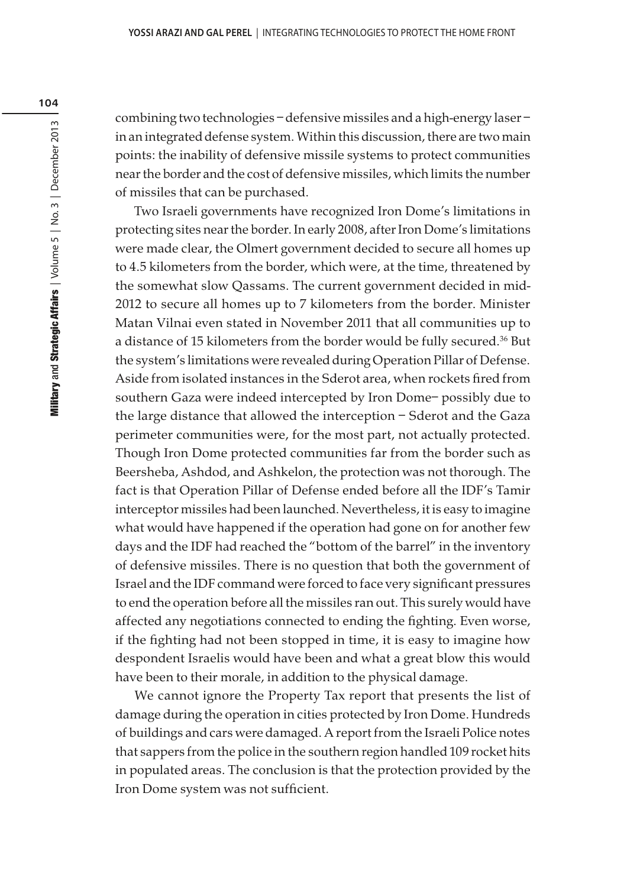combining two technologies – defensive missiles and a high-energy laser – in an integrated defense system. Within this discussion, there are two main points: the inability of defensive missile systems to protect communities near the border and the cost of defensive missiles, which limits the number of missiles that can be purchased.

Two Israeli governments have recognized Iron Dome's limitations in protecting sites near the border. In early 2008, after Iron Dome's limitations were made clear, the Olmert government decided to secure all homes up to 4.5 kilometers from the border, which were, at the time, threatened by the somewhat slow Qassams. The current government decided in mid-2012 to secure all homes up to 7 kilometers from the border. Minister Matan Vilnai even stated in November 2011 that all communities up to a distance of 15 kilometers from the border would be fully secured.<sup>36</sup> But the system's limitations were revealed during Operation Pillar of Defense. Aside from isolated instances in the Sderot area, when rockets fired from southern Gaza were indeed intercepted by Iron Dome– possibly due to the large distance that allowed the interception – Sderot and the Gaza perimeter communities were, for the most part, not actually protected. Though Iron Dome protected communities far from the border such as Beersheba, Ashdod, and Ashkelon, the protection was not thorough. The fact is that Operation Pillar of Defense ended before all the IDF's Tamir interceptor missiles had been launched. Nevertheless, it is easy to imagine what would have happened if the operation had gone on for another few days and the IDF had reached the "bottom of the barrel" in the inventory of defensive missiles. There is no question that both the government of Israel and the IDF command were forced to face very significant pressures to end the operation before all the missiles ran out. This surely would have affected any negotiations connected to ending the fighting. Even worse, if the fighting had not been stopped in time, it is easy to imagine how despondent Israelis would have been and what a great blow this would have been to their morale, in addition to the physical damage.

We cannot ignore the Property Tax report that presents the list of damage during the operation in cities protected by Iron Dome. Hundreds of buildings and cars were damaged. A report from the Israeli Police notes that sappers from the police in the southern region handled 109 rocket hits in populated areas. The conclusion is that the protection provided by the Iron Dome system was not sufficient.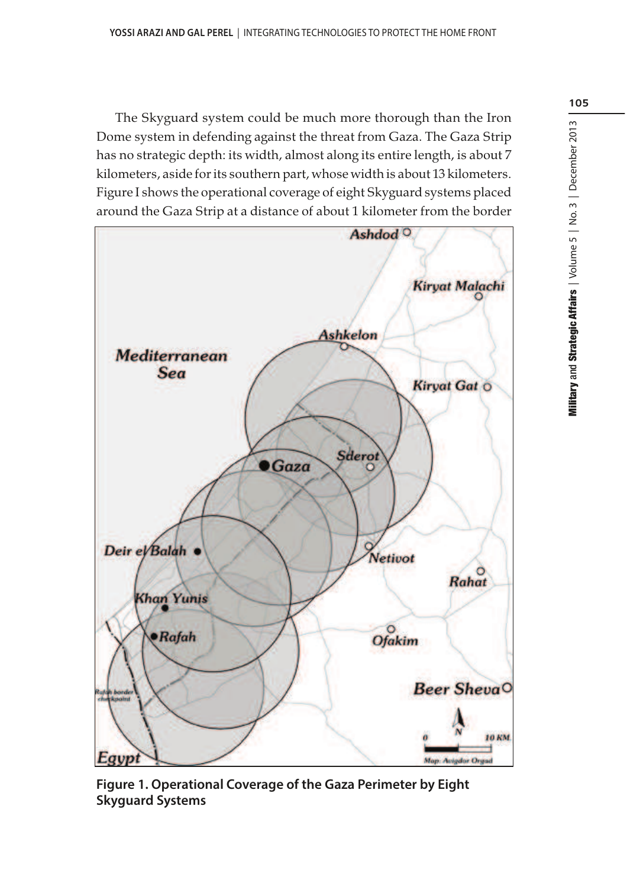The Skyguard system could be much more thorough than the Iron Dome system in defending against the threat from Gaza. The Gaza Strip has no strategic depth: its width, almost along its entire length, is about 7 kilometers, aside for its southern part, whose width is about 13 kilometers. Figure I shows the operational coverage of eight Skyguard systems placed around the Gaza Strip at a distance of about 1 kilometer from the border



**Figure 1. Operational Coverage of the Gaza Perimeter by Eight Skyguard Systems**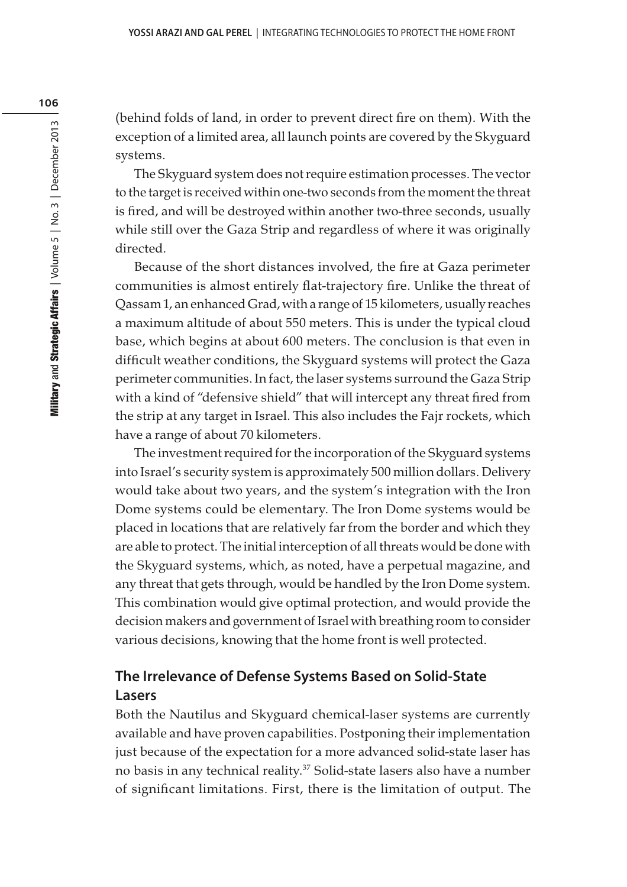(behind folds of land, in order to prevent direct fire on them). With the exception of a limited area, all launch points are covered by the Skyguard systems.

The Skyguard system does not require estimation processes. The vector to the target is received within one-two seconds from the moment the threat is fired, and will be destroyed within another two-three seconds, usually while still over the Gaza Strip and regardless of where it was originally directed.

Because of the short distances involved, the fire at Gaza perimeter communities is almost entirely flat-trajectory fire. Unlike the threat of Qassam 1, an enhanced Grad, with a range of 15 kilometers, usually reaches a maximum altitude of about 550 meters. This is under the typical cloud base, which begins at about 600 meters. The conclusion is that even in difficult weather conditions, the Skyguard systems will protect the Gaza perimeter communities. In fact, the laser systems surround the Gaza Strip with a kind of "defensive shield" that will intercept any threat fired from the strip at any target in Israel. This also includes the Fajr rockets, which have a range of about 70 kilometers.

The investment required for the incorporation of the Skyguard systems into Israel's security system is approximately 500 million dollars. Delivery would take about two years, and the system's integration with the Iron Dome systems could be elementary. The Iron Dome systems would be placed in locations that are relatively far from the border and which they are able to protect. The initial interception of all threats would be done with the Skyguard systems, which, as noted, have a perpetual magazine, and any threat that gets through, would be handled by the Iron Dome system. This combination would give optimal protection, and would provide the decision makers and government of Israel with breathing room to consider various decisions, knowing that the home front is well protected.

# **The Irrelevance of Defense Systems Based on Solid-State Lasers**

Both the Nautilus and Skyguard chemical-laser systems are currently available and have proven capabilities. Postponing their implementation just because of the expectation for a more advanced solid-state laser has no basis in any technical reality.<sup>37</sup> Solid-state lasers also have a number of significant limitations. First, there is the limitation of output. The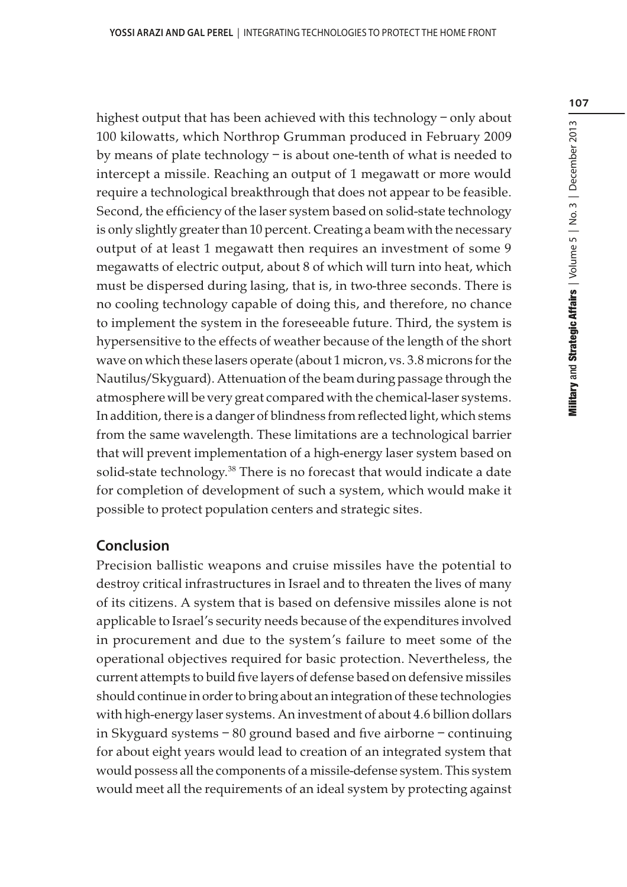highest output that has been achieved with this technology – only about 100 kilowatts, which Northrop Grumman produced in February 2009 by means of plate technology – is about one-tenth of what is needed to intercept a missile. Reaching an output of 1 megawatt or more would require a technological breakthrough that does not appear to be feasible. Second, the efficiency of the laser system based on solid-state technology is only slightly greater than 10 percent. Creating a beam with the necessary output of at least 1 megawatt then requires an investment of some 9 megawatts of electric output, about 8 of which will turn into heat, which must be dispersed during lasing, that is, in two-three seconds. There is no cooling technology capable of doing this, and therefore, no chance to implement the system in the foreseeable future. Third, the system is hypersensitive to the effects of weather because of the length of the short wave on which these lasers operate (about 1 micron, vs. 3.8 microns for the Nautilus/Skyguard). Attenuation of the beam during passage through the atmosphere will be very great compared with the chemical-laser systems. In addition, there is a danger of blindness from reflected light, which stems from the same wavelength. These limitations are a technological barrier that will prevent implementation of a high-energy laser system based on solid-state technology.<sup>38</sup> There is no forecast that would indicate a date for completion of development of such a system, which would make it possible to protect population centers and strategic sites.

#### **Conclusion**

Precision ballistic weapons and cruise missiles have the potential to destroy critical infrastructures in Israel and to threaten the lives of many of its citizens. A system that is based on defensive missiles alone is not applicable to Israel's security needs because of the expenditures involved in procurement and due to the system's failure to meet some of the operational objectives required for basic protection. Nevertheless, the current attempts to build five layers of defense based on defensive missiles should continue in order to bring about an integration of these technologies with high-energy laser systems. An investment of about 4.6 billion dollars in Skyguard systems – 80 ground based and five airborne – continuing for about eight years would lead to creation of an integrated system that would possess all the components of a missile-defense system. This system would meet all the requirements of an ideal system by protecting against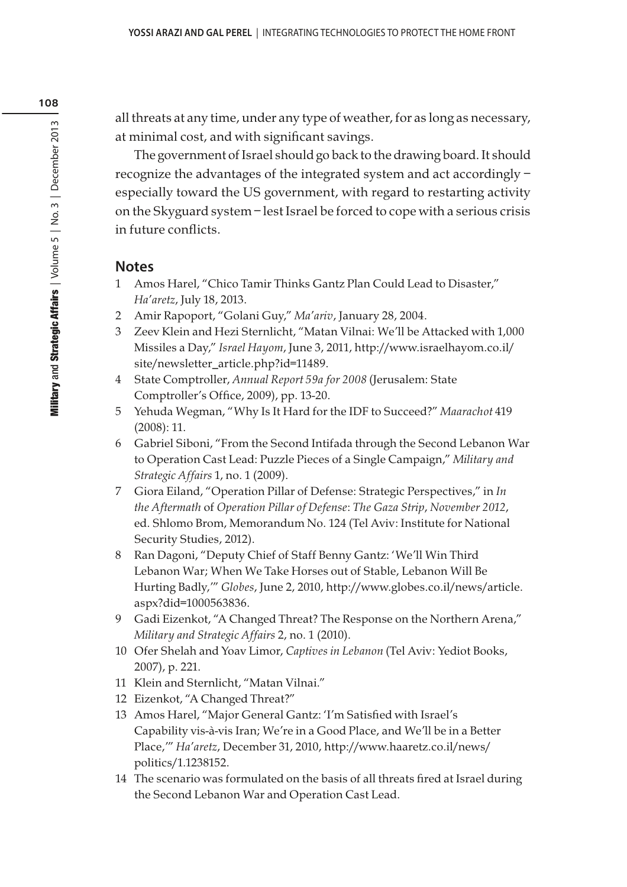all threats at any time, under any type of weather, for as long as necessary, at minimal cost, and with significant savings.

The government of Israel should go back to the drawing board. It should recognize the advantages of the integrated system and act accordingly – especially toward the US government, with regard to restarting activity on the Skyguard system – lest Israel be forced to cope with a serious crisis in future conflicts.

### **Notes**

- 1 Amos Harel, "Chico Tamir Thinks Gantz Plan Could Lead to Disaster," Ha'aretz, July 18, 2013.
- 2 Amir Rapoport, "Golani Guy," Ma'ariv, January 28, 2004.
- 3 Zeev Klein and Hezi Sternlicht, "Matan Vilnai: We'll be Attacked with 1,000 Missiles a Day," Israel Hayom, June 3, 2011, http://www.israelhayom.co.il/ site/newsletter\_article.php?id=11489.
- 4 State Comptroller, Annual Report 59a for 2008 (Jerusalem: State Comptroller's Office, 2009), pp. 13-20.
- 5 Yehuda Wegman, "Why Is It Hard for the IDF to Succeed?" Maarachot 419 (2008): 11.
- 6 Gabriel Siboni, "From the Second Intifada through the Second Lebanon War to Operation Cast Lead: Puzzle Pieces of a Single Campaign," Military and Strategic Affairs 1, no. 1 (2009).
- 7 Giora Eiland, "Operation Pillar of Defense: Strategic Perspectives," in In the Aftermath of Operation Pillar of Defense: The Gaza Strip, November 2012, ed. Shlomo Brom, Memorandum No. 124 (Tel Aviv: Institute for National Security Studies, 2012).
- 8 Ran Dagoni, "Deputy Chief of Staff Benny Gantz: 'We'll Win Third Lebanon War; When We Take Horses out of Stable, Lebanon Will Be Hurting Badly,'" Globes, June 2, 2010, http://www.globes.co.il/news/article. aspx?did=1000563836.
- 9 Gadi Eizenkot, "A Changed Threat? The Response on the Northern Arena," Military and Strategic Affairs 2, no. 1 (2010).
- 10 Ofer Shelah and Yoav Limor, Captives in Lebanon (Tel Aviv: Yediot Books, 2007), p. 221.
- 11 Klein and Sternlicht, "Matan Vilnai."
- 12 Eizenkot, "A Changed Threat?"
- 13 Amos Harel, "Major General Gantz: 'I'm Satisfied with Israel's Capability vis-à-vis Iran; We're in a Good Place, and We'll be in a Better Place,'" Ha'aretz, December 31, 2010, http://www.haaretz.co.il/news/ politics/1.1238152.
- 14 The scenario was formulated on the basis of all threats fired at Israel during the Second Lebanon War and Operation Cast Lead.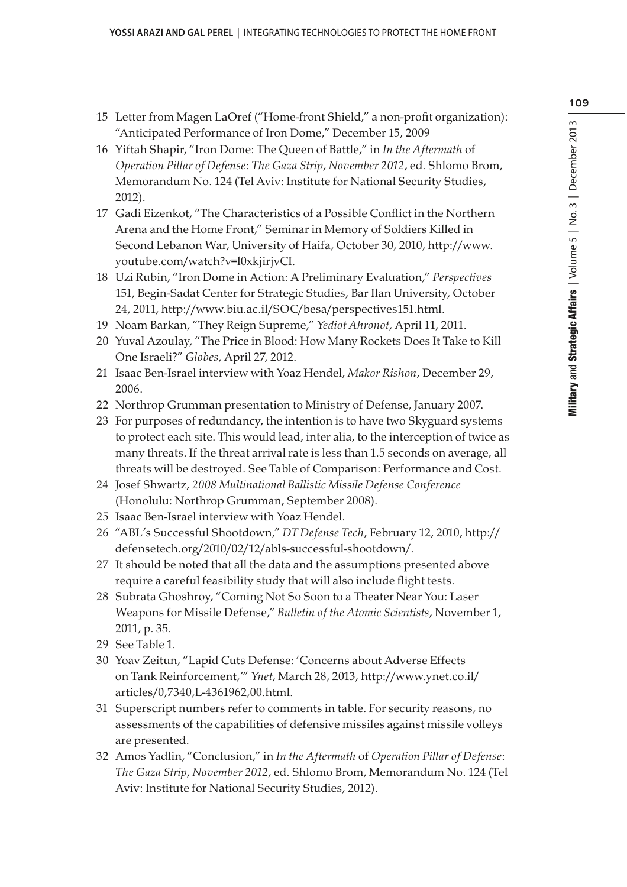- 15 Letter from Magen LaOref ("Home-front Shield," a non-profit organization): "Anticipated Performance of Iron Dome," December 15, 2009
- 16 Yiftah Shapir, "Iron Dome: The Queen of Battle," in In the Aftermath of Operation Pillar of Defense: The Gaza Strip, November 2012, ed. Shlomo Brom, Memorandum No. 124 (Tel Aviv: Institute for National Security Studies, 2012).
- 17 Gadi Eizenkot, "The Characteristics of a Possible Conflict in the Northern Arena and the Home Front," Seminar in Memory of Soldiers Killed in Second Lebanon War, University of Haifa, October 30, 2010, http://www. youtube.com/watch?v=l0xkjirjvCI.
- 18 Uzi Rubin, "Iron Dome in Action: A Preliminary Evaluation," Perspectives 151, Begin-Sadat Center for Strategic Studies, Bar Ilan University, October 24, 2011, http://www.biu.ac.il/SOC/besa/perspectives151.html.
- 19 Noam Barkan, "They Reign Supreme," Yediot Ahronot, April 11, 2011.
- 20 Yuval Azoulay, "The Price in Blood: How Many Rockets Does It Take to Kill One Israeli?" Globes, April 27, 2012.
- 21 Isaac Ben-Israel interview with Yoaz Hendel, Makor Rishon, December 29, 2006.
- 22 Northrop Grumman presentation to Ministry of Defense, January 2007.
- 23 For purposes of redundancy, the intention is to have two Skyguard systems to protect each site. This would lead, inter alia, to the interception of twice as many threats. If the threat arrival rate is less than 1.5 seconds on average, all threats will be destroyed. See Table of Comparison: Performance and Cost.
- 24 Josef Shwartz, 2008 Multinational Ballistic Missile Defense Conference (Honolulu: Northrop Grumman, September 2008).
- 25 Isaac Ben-Israel interview with Yoaz Hendel.
- 26 "ABL's Successful Shootdown," DT Defense Tech, February 12, 2010, http:// defensetech.org/2010/02/12/abls-successful-shootdown/.
- 27 It should be noted that all the data and the assumptions presented above require a careful feasibility study that will also include flight tests.
- 28 Subrata Ghoshroy, "Coming Not So Soon to a Theater Near You: Laser Weapons for Missile Defense," Bulletin of the Atomic Scientists, November 1, 2011, p. 35.
- 29 See Table 1.
- 30 Yoav Zeitun, "Lapid Cuts Defense: 'Concerns about Adverse Effects on Tank Reinforcement,'" Ynet, March 28, 2013, http://www.ynet.co.il/ articles/0,7340,L-4361962,00.html.
- 31 Superscript numbers refer to comments in table. For security reasons, no assessments of the capabilities of defensive missiles against missile volleys are presented.
- 32 Amos Yadlin, "Conclusion," in In the Aftermath of Operation Pillar of Defense: The Gaza Strip, November 2012, ed. Shlomo Brom, Memorandum No. 124 (Tel Aviv: Institute for National Security Studies, 2012).